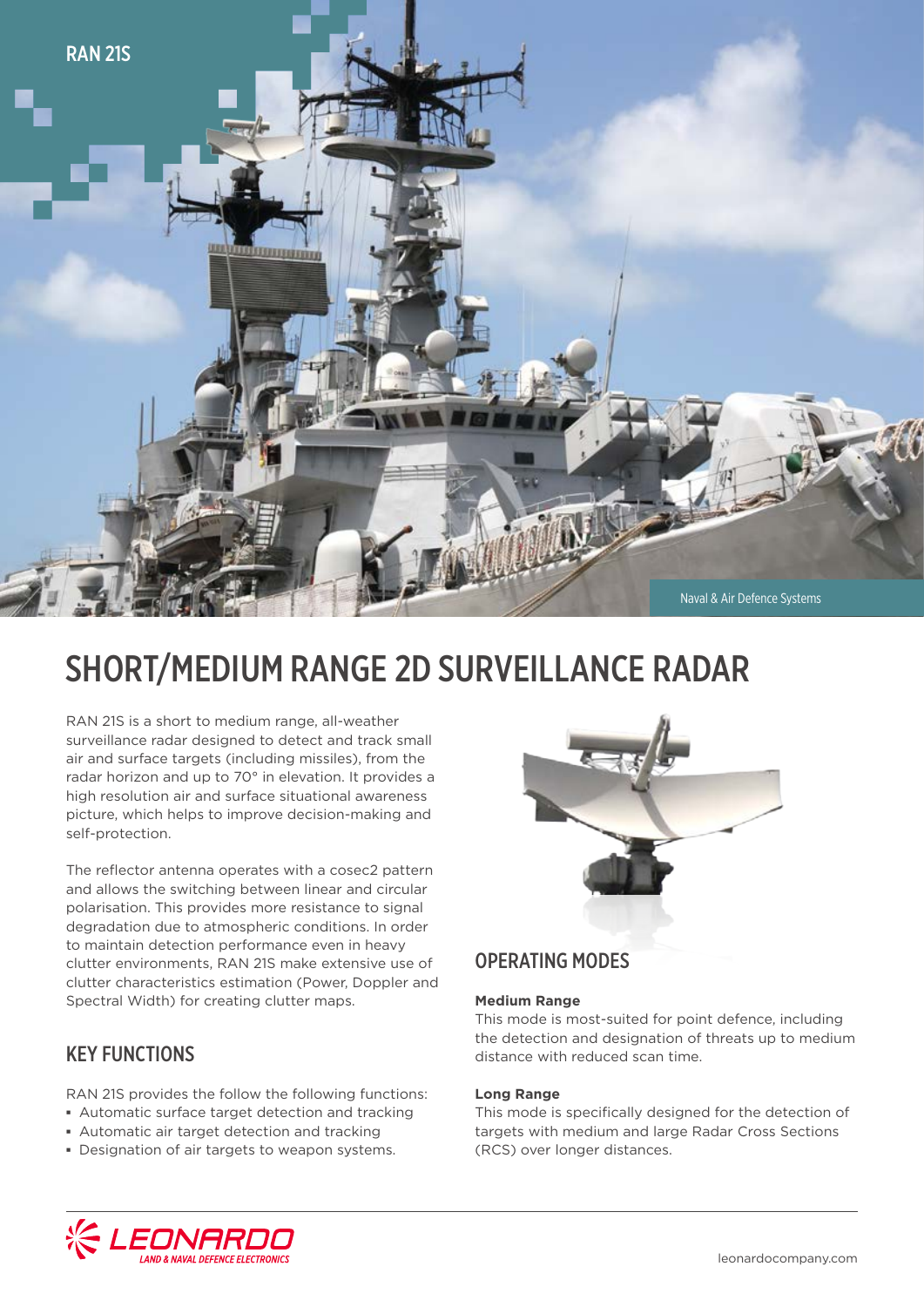

# SHORT/MEDIUM RANGE 2D SURVEILLANCE RADAR

RAN 21S is a short to medium range, all-weather surveillance radar designed to detect and track small air and surface targets (including missiles), from the radar horizon and up to 70° in elevation. It provides a high resolution air and surface situational awareness picture, which helps to improve decision-making and self-protection.

The reflector antenna operates with a cosec2 pattern and allows the switching between linear and circular polarisation. This provides more resistance to signal degradation due to atmospheric conditions. In order to maintain detection performance even in heavy clutter environments, RAN 21S make extensive use of clutter characteristics estimation (Power, Doppler and Spectral Width) for creating clutter maps.

## KEY FUNCTIONS

RAN 21S provides the follow the following functions:

- **▪** Automatic surface target detection and tracking
- **▪** Automatic air target detection and tracking
- **▪** Designation of air targets to weapon systems.



### OPERATING MODES

#### **Medium Range**

This mode is most-suited for point defence, including the detection and designation of threats up to medium distance with reduced scan time.

#### **Long Range**

This mode is specifically designed for the detection of targets with medium and large Radar Cross Sections (RCS) over longer distances.